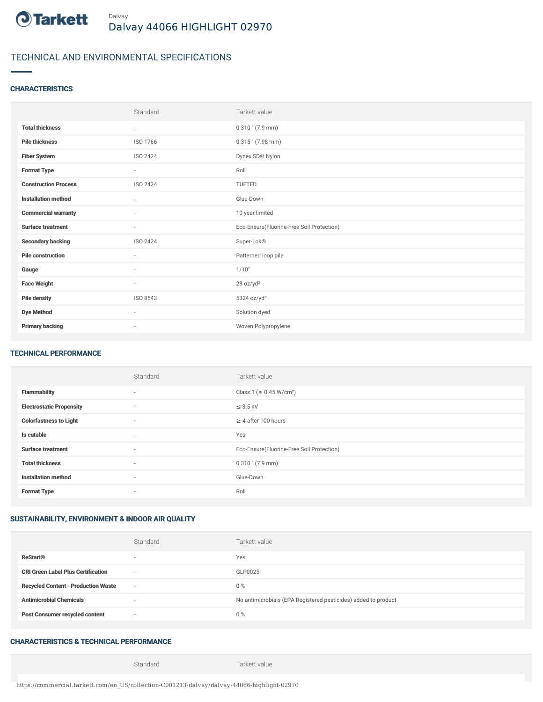

# TECHNICAL AND ENVIRONMENTAL SPECIFICATIONS

### **CHARACTERISTICS**

|                             | Standard                 | Tarkett value                             |
|-----------------------------|--------------------------|-------------------------------------------|
| <b>Total thickness</b>      | ٠                        | $0.310$ " (7.9 mm)                        |
| <b>Pile thickness</b>       | ISO 1766                 | $0.315$ " (7.98 mm)                       |
| <b>Fiber System</b>         | ISO 2424                 | Dynex SD® Nylon                           |
| <b>Format Type</b>          | ٠                        | Roll                                      |
| <b>Construction Process</b> | ISO 2424                 | TUFTED                                    |
| <b>Installation method</b>  | $\overline{\phantom{a}}$ | Glue-Down                                 |
| <b>Commercial warranty</b>  | $\sim$                   | 10 year limited                           |
| <b>Surface treatment</b>    | ٠                        | Eco-Ensure(Fluorine-Free Soil Protection) |
| <b>Secondary backing</b>    | ISO 2424                 | Super-Lok®                                |
| <b>Pile construction</b>    | ×                        | Patterned loop pile                       |
| Gauge                       | $\sim$                   | 1/10"                                     |
| <b>Face Weight</b>          | $\overline{\phantom{a}}$ | 28 oz/yd <sup>2</sup>                     |
| <b>Pile density</b>         | ISO 8543                 | 5324 oz/yd <sup>3</sup>                   |
| <b>Dye Method</b>           | ٠                        | Solution dyed                             |
| <b>Primary backing</b>      | $\sim$                   | Woven Polypropylene                       |

#### TECHNICAL PERFORMANCE

|                                 | Standard       | Tarkett value                             |
|---------------------------------|----------------|-------------------------------------------|
| <b>Flammability</b>             | $\sim$         | Class 1 (≥ 0.45 W/cm <sup>2</sup> )       |
| <b>Electrostatic Propensity</b> | $\overline{a}$ | $\leq$ 3.5 kV                             |
| <b>Colorfastness to Light</b>   | $\sim$         | $\geq$ 4 after 100 hours                  |
| Is cutable                      | $\sim$         | Yes                                       |
| <b>Surface treatment</b>        | $\sim$         | Eco-Ensure(Fluorine-Free Soil Protection) |
| <b>Total thickness</b>          | $\sim$         | $0.310$ " (7.9 mm)                        |
| <b>Installation method</b>      | $\sim$         | Glue-Down                                 |
| <b>Format Type</b>              | $\sim$         | Roll                                      |

## SUSTAINABILITY, ENVIRONMENT & INDOOR AIR QUALITY

|                                            | Standard                 | Tarkett value                                                  |
|--------------------------------------------|--------------------------|----------------------------------------------------------------|
| <b>ReStart®</b>                            | $\overline{\phantom{a}}$ | Yes                                                            |
| <b>CRI Green Label Plus Certification</b>  | $\sim$                   | GLP0025                                                        |
| <b>Recycled Content - Production Waste</b> | $\sim$                   | $0\%$                                                          |
| <b>Antimicrobial Chemicals</b>             | ۰                        | No antimicrobials (EPA Registered pesticides) added to product |
| <b>Post Consumer recycled content</b>      | $\sim$                   | $0\%$                                                          |

## CHARACTERISTICS & TECHNICAL PERFORMANCE

Standard Tarkett value